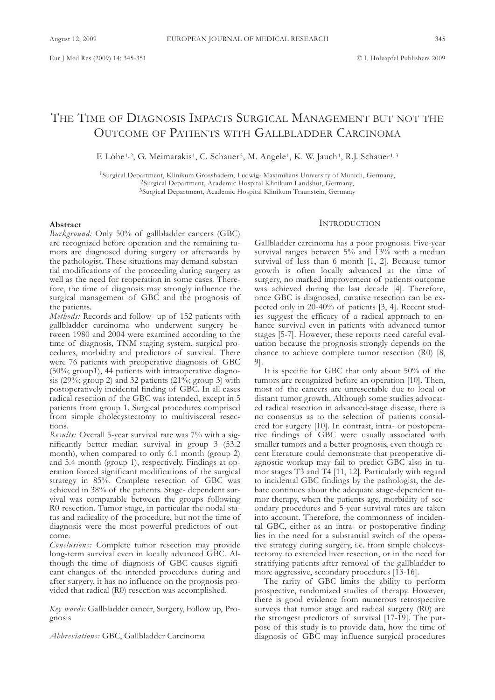# THE TIME OF DIAGNOSIS IMPACTS SURGICAL MANAGEMENT BUT NOT THE OUTCOME OF PATIENTS WITH GALLBLADDER CARCINOMA

F. Löhe<sup>1,2</sup>, G. Meimarakis<sup>1</sup>, C. Schauer<sup>3</sup>, M. Angele<sup>1</sup>, K. W. Jauch<sup>1</sup>, R.J. Schauer<sup>1,3</sup>

1Surgical Department, Klinikum Grosshadern, Ludwig- Maximilians University of Munich, Germany, 2Surgical Department, Academic Hospital Klinikum Landshut, Germany, 3Surgical Department, Academic Hospital Klinikum Traunstein, Germany

#### **Abstract**

*Background:* Only 50% of gallbladder cancers (GBC) are recognized before operation and the remaining tumors are diagnosed during surgery or afterwards by the pathologist. These situations may demand substantial modifications of the proceeding during surgery as well as the need for reoperation in some cases. Therefore, the time of diagnosis may strongly influence the surgical management of GBC and the prognosis of the patients.

*Methods:* Records and follow- up of 152 patients with gallbladder carcinoma who underwent surgery between 1980 and 2004 were examined according to the time of diagnosis, TNM staging system, surgical procedures, morbidity and predictors of survival. There were 76 patients with preoperative diagnosis of GBC (50%; group1), 44 patients with intraoperative diagnosis (29%; group 2) and 32 patients (21%; group 3) with postoperatively incidental finding of GBC. In all cases radical resection of the GBC was intended, except in 5 patients from group 1. Surgical procedures comprised from simple cholecystectomy to multivisceral resections.

*Results:* Overall 5-year survival rate was 7% with a significantly better median survival in group 3 (53.2 month), when compared to only 6.1 month (group 2) and 5.4 month (group 1), respectively. Findings at operation forced significant modifications of the surgical strategy in 85%. Complete resection of GBC was achieved in 38% of the patients. Stage- dependent survival was comparable between the groups following R0 resection. Tumor stage, in particular the nodal status and radicality of the procedure, but not the time of diagnosis were the most powerful predictors of outcome.

*Conclusions:* Complete tumor resection may provide long-term survival even in locally advanced GBC. Although the time of diagnosis of GBC causes significant changes of the intended procedures during and after surgery, it has no influence on the prognosis provided that radical (R0) resection was accomplished.

*Key words:* Gallbladder cancer, Surgery, Follow up, Prognosis

*Abbreviations:* GBC, Gallbladder Carcinoma

# **INTRODUCTION**

Gallbladder carcinoma has a poor prognosis. Five-year survival ranges between  $5\%$  and  $13\%$  with a median survival of less than 6 month [1, 2]. Because tumor growth is often locally advanced at the time of surgery, no marked improvement of patients outcome was achieved during the last decade [4]. Therefore, once GBC is diagnosed, curative resection can be expected only in 20-40% of patients [3, 4]. Recent studies suggest the efficacy of a radical approach to enhance survival even in patients with advanced tumor stages [5-7]. However, these reports need careful evaluation because the prognosis strongly depends on the chance to achieve complete tumor resection (R0) [8, 9].

It is specific for GBC that only about 50% of the tumors are recognized before an operation [10]. Then, most of the cancers are unresectable due to local or distant tumor growth. Although some studies advocated radical resection in advanced-stage disease, there is no consensus as to the selection of patients considered for surgery [10]. In contrast, intra- or postoperative findings of GBC were usually associated with smaller tumors and a better prognosis, even though recent literature could demonstrate that preoperative diagnostic workup may fail to predict GBC also in tumor stages T3 and T4 [11, 12]. Particularly with regard to incidental GBC findings by the pathologist, the debate continues about the adequate stage-dependent tumor therapy, when the patients age, morbidity of secondary procedures and 5-year survival rates are taken into account. Therefore, the commonness of incidental GBC, either as an intra- or postoperative finding lies in the need for a substantial switch of the operative strategy during surgery, i.e. from simple cholecystectomy to extended liver resection, or in the need for stratifying patients after removal of the gallbladder to more aggressive, secondary procedures [13-16].

The rarity of GBC limits the ability to perform prospective, randomized studies of therapy. However, there is good evidence from numerous retrospective surveys that tumor stage and radical surgery (R0) are the strongest predictors of survival [17-19]. The purpose of this study is to provide data, how the time of diagnosis of GBC may influence surgical procedures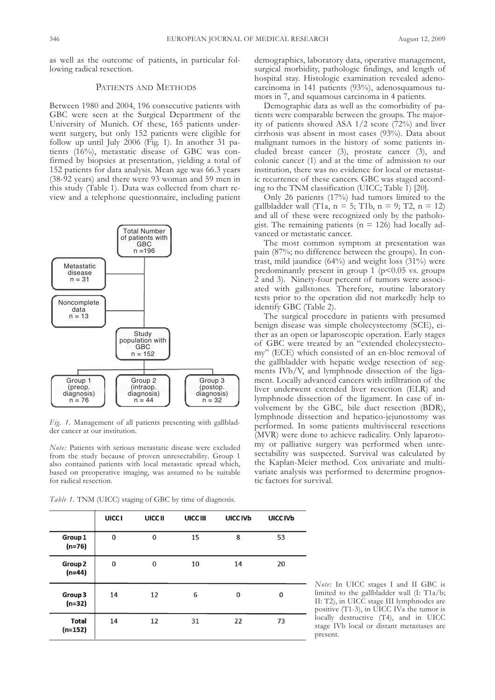as well as the outcome of patients, in particular following radical resection.

# PATIENTS AND METHODS

Between 1980 and 2004, 196 consecutive patients with GBC were seen at the Surgical Department of the University of Munich. Of these, 165 patients underwent surgery, but only 152 patients were eligible for follow up until July 2006 (Fig. 1). In another 31 patients (16%), metastatic disease of GBC was confirmed by biopsies at presentation, yielding a total of 152 patients for data analysis. Mean age was 66.3 years (38-92 years) and there were 93 woman and 59 men in this study (Table 1). Data was collected from chart review and a telephone questionnaire, including patient



*Fig. 1.* Management of all patients presenting with gallbladder cancer at our institution.

*Note:* Patients with serious metastatic disease were excluded from the study because of proven unresectability. Group 1 also contained patients with local metastatic spread which, based on preoperative imaging, was assumed to be suitable for radical resection.

*Table 1.* TNM (UICC) staging of GBC by time of diagnosis.

| demographics, laboratory data, operative management,   |
|--------------------------------------------------------|
| surgical morbidity, pathologic findings, and length of |
| hospital stay. Histologic examination revealed adeno-  |
| carcinoma in 141 patients (93%), adenosquamous tu-     |
| mors in 7, and squamous carcinoma in 4 patients.       |

Demographic data as well as the comorbidity of patients were comparable between the groups. The majority of patients showed ASA  $1/2$  score (72%) and liver cirrhosis was absent in most cases (93%). Data about malignant tumors in the history of some patients included breast cancer (3), prostate cancer (3), and colonic cancer (1) and at the time of admission to our institution, there was no evidence for local or metastatic recurrence of these cancers. GBC was staged according to the TNM classification (UICC; Table 1) [20].

Only 26 patients (17%) had tumors limited to the gallbladder wall (T<sub>1a</sub>,  $n = 5$ ; T<sub>1b</sub>,  $n = 9$ ; T<sub>2</sub>,  $n = 12$ ) and all of these were recognized only by the pathologist. The remaining patients ( $n = 126$ ) had locally advanced or metastatic cancer.

The most common symptom at presentation was pain (87%; no difference between the groups). In contrast, mild jaundice (64%) and weight loss (31%) were predominantly present in group  $1$  ( $p < 0.05$  vs. groups 2 and 3). Ninety-four percent of tumors were associated with gallstones. Therefore, routine laboratory tests prior to the operation did not markedly help to identify GBC (Table 2).

The surgical procedure in patients with presumed benign disease was simple cholecystectomy (SCE), either as an open or laparoscopic operation. Early stages of GBC were treated by an "extended cholecystectomy" (ECE) which consisted of an en-bloc removal of the gallbladder with hepatic wedge resection of segments IVb/V, and lymphnode dissection of the ligament. Locally advanced cancers with infiltration of the liver underwent extended liver resection (ELR) and lymphnode dissection of the ligament. In case of involvement by the GBC, bile duct resection (BDR), lymphnode dissection and hepatico-jejunostomy was performed. In some patients multivisceral resections (MVR) were done to achieve radicality. Only laparotomy or palliative surgery was performed when unresectability was suspected. Survival was calculated by the Kaplan-Meier method. Cox univariate and multivariate analysis was performed to determine prognostic factors for survival.

|                                | <b>UICCI</b> | UICC II  | UICC III | UICC IVb | UICC IVb     |
|--------------------------------|--------------|----------|----------|----------|--------------|
| Group 1<br>$(n=76)$            | $\mathbf{0}$ | $\bf{0}$ | 15       | 8        | 53           |
| Group <sub>2</sub><br>$(n=44)$ | $\bf{0}$     | $\bf{0}$ | 10       | 14       | 20           |
| Group 3<br>$(n=32)$            | 14           | 12       | 6        | 0        | $\mathbf{0}$ |
| <b>Total</b><br>$(n=152)$      | 14           | 12       | 31       | 22       | 73           |

*Note:* In UICC stages I and II GBC is limited to the gallbladder wall (I: T1a/b; II: T2), in UICC stage III lymphnodes are positive (T1-3), in UICC IVa the tumor is locally destructive (T4), and in UICC stage IVb local or distant metastases are present.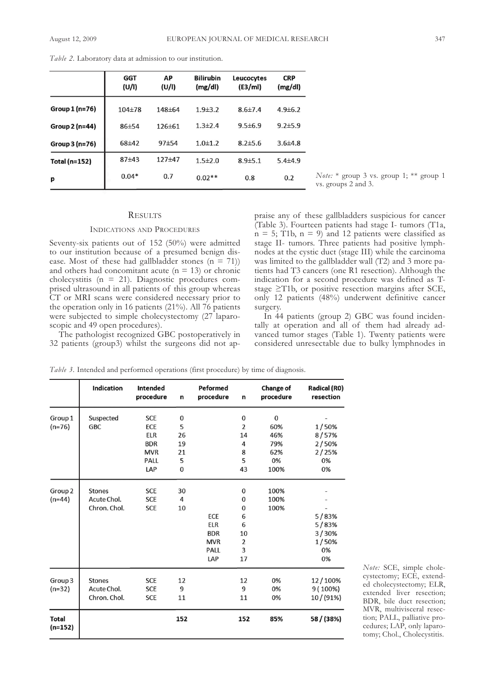|                | <b>GGT</b><br>(U/I) | AP<br>(U/I)  | <b>Bilirubin</b><br>(mg/dl) | Leucocytes<br>(E3/ml) | <b>CRP</b><br>(mg/dl) |
|----------------|---------------------|--------------|-----------------------------|-----------------------|-----------------------|
| Group 1 (n=76) | $104 + 78$          | 148±64       | $1.9 \pm 3.2$               | $8.6{\pm}7.4$         | $4.9\pm 6.2$          |
| Group 2 (n=44) | $86 + 54$           | $126 \pm 61$ | $1.3 \pm 2.4$               | $9.5 \pm 6.9$         | $9.2 \pm 5.9$         |
| Group 3 (n=76) | 68±42               | 97±54        | $1.0 + 1.2$                 | $8.2 \pm 5.6$         | $3.6{\pm}4.8$         |
| Total (n=152)  | $87 + 43$           | $127 + 47$   | $1.5 \pm 2.0$               | $8.9{\pm}5.1$         | $5.4{\pm}4.9$         |
| p              | $0.04*$             | 0.7          | $0.02**$                    | 0.8                   | 0.2                   |

*Table 2.* Laboratory data at admission to our institution.

### **RESULTS**

#### INDICATIONS AND PROCEDURES

Seventy-six patients out of 152 (50%) were admitted to our institution because of a presumed benign disease. Most of these had gallbladder stones  $(n = 71)$ ) and others had concomitant acute ( $n = 13$ ) or chronic cholecystitis (n = 21). Diagnostic procedures comprised ultrasound in all patients of this group whereas CT or MRI scans were considered necessary prior to the operation only in 16 patients (21%). All 76 patients were subjected to simple cholecystectomy (27 laparoscopic and 49 open procedures).

The pathologist recognized GBC postoperatively in 32 patients (group3) whilst the surgeons did not apvs. groups 2 and 3.

*Note:* \* group 3 vs. group 1; \*\* group 1

praise any of these gallbladders suspicious for cancer (Table 3). Fourteen patients had stage I- tumors (T1a,  $n = 5$ ; T<sub>1</sub>b,  $n = 9$ ) and 12 patients were classified as stage II- tumors. Three patients had positive lymphnodes at the cystic duct (stage III) while the carcinoma was limited to the gallbladder wall (T2) and 3 more patients had T3 cancers (one R1 resection). Although the indication for a second procedure was defined as Tstage ≥T1b, or positive resection margins after SCE, only 12 patients (48%) underwent definitive cancer surgery.

In 44 patients (group 2) GBC was found incidentally at operation and all of them had already advanced tumor stages (Table 1). Twenty patients were considered unresectable due to bulky lymphnodes in

*Table 3.* Intended and performed operations (first procedure) by time of diagnosis.

|                           | <b>Indication</b> | Intended<br>procedure | n        | Peformed<br>procedure | n            | Change of<br>procedure | <b>Radical (RO)</b><br>resection |
|---------------------------|-------------------|-----------------------|----------|-----------------------|--------------|------------------------|----------------------------------|
| Group 1                   | Suspected         | <b>SCE</b>            | 0        |                       | $\bf{0}$     | $\mathbf{0}$           |                                  |
| $(n=76)$                  | <b>GBC</b>        | ECE                   | 5        |                       | 2            | 60%                    | 1/50%                            |
|                           |                   | <b>ELR</b>            | 26       |                       | 14           | 46%                    | 8/57%                            |
|                           |                   | <b>BDR</b>            | 19       |                       | 4            | 79%                    | 2/50%                            |
|                           |                   | <b>MVR</b>            | 21       |                       | 8            | 62%                    | 2/25%                            |
|                           |                   | PALL                  | 5        |                       | 5            | 0%                     | 0%                               |
|                           |                   | LAP                   | $\bf{0}$ |                       | 43           | 100%                   | 0%                               |
| Group <sub>2</sub>        | <b>Stones</b>     | <b>SCE</b>            | 30       |                       | $\mathbf 0$  | 100%                   |                                  |
| $(n=44)$                  | Acute Chol.       | <b>SCE</b>            | 4        |                       | $\bf{0}$     | 100%                   |                                  |
|                           | Chron. Chol.      | <b>SCE</b>            | 10       |                       | $\mathbf{0}$ | 100%                   |                                  |
|                           |                   |                       |          | ECE                   | 6            |                        | 5/83%                            |
|                           |                   |                       |          | <b>ELR</b>            | 6            |                        | 5/83%                            |
|                           |                   |                       |          | <b>BDR</b>            | 10           |                        | 3/30%                            |
|                           |                   |                       |          | <b>MVR</b>            | 2            |                        | 1/50%                            |
|                           |                   |                       |          | PALL                  | 3            |                        | 0%                               |
|                           |                   |                       |          | LAP                   | 17           |                        | 0%                               |
| Group <sub>3</sub>        | <b>Stones</b>     | <b>SCE</b>            | 12       |                       | 12           | 0%                     | 12/100%                          |
| $(n=32)$                  | Acute Chol.       | <b>SCE</b>            | 9        |                       | 9            | 0%                     | 9 (100%)                         |
|                           | Chron. Chol.      | <b>SCE</b>            | 11       |                       | 11           | 0%                     | 10/(91%)                         |
| <b>Total</b><br>$(n=152)$ |                   |                       | 152      |                       | 152          | 85%                    | 58 / (38%)                       |

*Note:* SCE, simple cholecystectomy; ECE, extended cholecystectomy; ELR, extended liver resection; BDR, bile duct resection; MVR, multivisceral resection; PALL, palliative procedures; LAP, only laparotomy; Chol., Cholecystitis.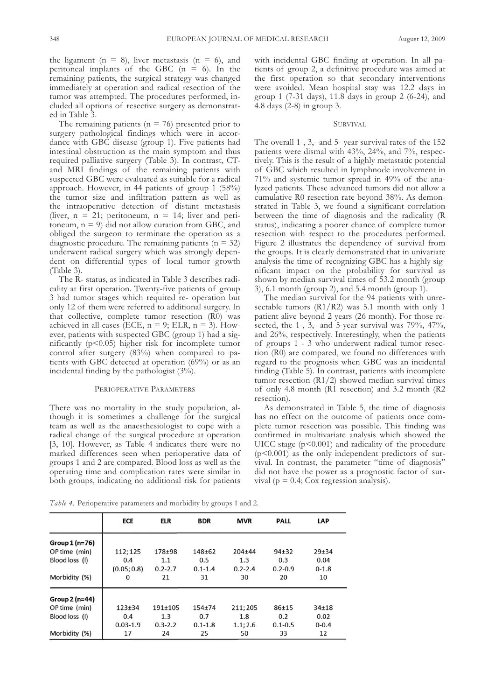the ligament ( $n = 8$ ), liver metastasis ( $n = 6$ ), and peritoneal implants of the GBC  $(n = 6)$ . In the remaining patients, the surgical strategy was changed immediately at operation and radical resection of the tumor was attempted. The procedures performed, included all options of resective surgery as demonstrated in Table 3.

The remaining patients ( $n = 76$ ) presented prior to surgery pathological findings which were in accordance with GBC disease (group 1). Five patients had intestinal obstruction as the main symptom and thus required palliative surgery (Table 3). In contrast, CTand MRI findings of the remaining patients with suspected GBC were evaluated as suitable for a radical approach. However, in 44 patients of group 1 (58%) the tumor size and infiltration pattern as well as the intraoperative detection of distant metastasis (liver,  $n = 21$ ; peritoneum,  $n = 14$ ; liver and peritoneum,  $n = 9$ ) did not allow curation from GBC, and obliged the surgeon to terminate the operation as a diagnostic procedure. The remaining patients ( $n = 32$ ) underwent radical surgery which was strongly dependent on differential types of local tumor growth (Table 3).

The R- status, as indicated in Table 3 describes radicality at first operation. Twenty-five patients of group 3 had tumor stages which required re- operation but only 12 of them were referred to additional surgery. In that collective, complete tumor resection (R0) was achieved in all cases (ECE,  $n = 9$ ; ELR,  $n = 3$ ). However, patients with suspected GBC (group 1) had a significantly (p<0.05) higher risk for incomplete tumor control after surgery (83%) when compared to patients with GBC detected at operation (69%) or as an incidental finding by the pathologist  $(3\%)$ .

## PERIOPERATIVE PARAMETERS

There was no mortality in the study population, although it is sometimes a challenge for the surgical team as well as the anaesthesiologist to cope with a radical change of the surgical procedure at operation [3, 10]. However, as Table 4 indicates there were no marked differences seen when perioperative data of groups 1 and 2 are compared. Blood loss as well as the operating time and complication rates were similar in both groups, indicating no additional risk for patients

with incidental GBC finding at operation. In all patients of group 2, a definitive procedure was aimed at the first operation so that secondary interventions were avoided. Mean hospital stay was 12.2 days in group 1 (7-31 days), 11.8 days in group 2 (6-24), and 4.8 days (2-8) in group 3.

# **SURVIVAL**

The overall 1-, 3,- and 5- year survival rates of the 152 patients were dismal with 43%, 24%, and 7%, respectively. This is the result of a highly metastatic potential of GBC which resulted in lymphnode involvement in 71% and systemic tumor spread in 49% of the analyzed patients. These advanced tumors did not allow a cumulative R0 resection rate beyond 38%. As demonstrated in Table 3, we found a significant correlation between the time of diagnosis and the radicality (R status), indicating a poorer chance of complete tumor resection with respect to the procedures performed. Figure 2 illustrates the dependency of survival from the groups. It is clearly demonstrated that in univariate analysis the time of recognizing GBC has a highly significant impact on the probability for survival as shown by median survival times of 53.2 month (group 3), 6.1 month (group 2), and 5.4 month (group 1).

The median survival for the 94 patients with unresectable tumors (R1/R2) was 5.1 month with only 1 patient alive beyond 2 years (26 month). For those resected, the  $1$ -,  $3$ ,- and  $5$ -year survival was 79%, 47%, and 26%, respectively. Interestingly, when the patients of groups 1 - 3 who underwent radical tumor resection (R0) are compared, we found no differences with regard to the prognosis when GBC was an incidental finding (Table 5). In contrast, patients with incomplete tumor resection (R1/2) showed median survival times of only 4.8 month (R1 resection) and 3.2 month (R2 resection).

As demonstrated in Table 5, the time of diagnosis has no effect on the outcome of patients once complete tumor resection was possible. This finding was confirmed in multivariate analysis which showed the UICC stage (p<0.001) and radicality of the procedure (p<0.001) as the only independent predictors of survival. In contrast, the parameter "time of diagnosis" did not have the power as a prognostic factor of survival ( $p = 0.4$ ; Cox regression analysis).

*Table 4.* Perioperative parameters and morbidity by groups 1 and 2.

|                | <b>ECE</b>   | <b>ELR</b>  | <b>BDR</b>  | <b>MVR</b>  | <b>PALL</b> | <b>LAP</b> |
|----------------|--------------|-------------|-------------|-------------|-------------|------------|
| Group 1 (n=76) |              |             |             |             |             |            |
| OP time (min)  | 112; 125     | 178+98      | $148 + 62$  | $204 + 44$  | $94+32$     | $29+34$    |
| Blood loss (I) | 0.4          | 1.1         | 0.5         | 1.3         | 0.3         | 0.04       |
|                | (0.05; 0.8)  | $0.2 - 2.7$ | $0.1 - 1.4$ | $0.2 - 2.4$ | $0.2 - 0.9$ | $0 - 1.8$  |
| Morbidity (%)  | 0            | 21          | 31          | 30          | 20          | 10         |
| Group 2 (n=44) |              |             |             |             |             |            |
| OP time (min)  | $123 + 34$   | $191 + 105$ | $154 + 74$  | 211;205     | $86 + 15$   | $34 + 18$  |
| Blood loss (I) | 0.4          | 1.3         | 0.7         | 1.8         | 0.2         | 0.02       |
|                | $0.03 - 1.9$ | $0.3 - 2.2$ | $0.1 - 1.8$ | 1.1; 2.6    | $0.1 - 0.5$ | $0 - 0.4$  |
| Morbidity (%)  | 17           | 24          | 25          | 50          | 33          | 12         |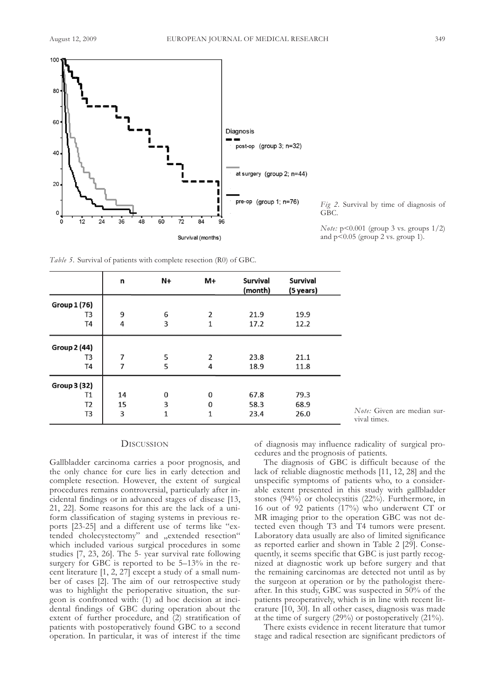

*Fig 2.* Survival by time of diagnosis of GBC.

*Note:* p<0.001 (group 3 vs. groups 1/2) and  $p<0.05$  (group 2 vs. group 1).

*Note:* Given are median sur-

*Table 5.* Survival of patients with complete resection (R0) of GBC.

|                     | n  | N+       | $M+$           | <b>Survival</b><br>(month) | <b>Survival</b><br>(5 years) |
|---------------------|----|----------|----------------|----------------------------|------------------------------|
| Group 1 (76)        |    |          |                |                            |                              |
| T3                  | 9  | 6        | $\overline{2}$ | 21.9                       | 19.9                         |
| T4                  | 4  | 3        | 1              | 17.2                       | 12.2                         |
| <b>Group 2 (44)</b> |    |          |                |                            |                              |
| T <sub>3</sub>      | 7  | 5        | $\overline{2}$ | 23.8                       | 21.1                         |
| T <sub>4</sub>      | 7  | 5        | 4              | 18.9                       | 11.8                         |
| <b>Group 3 (32)</b> |    |          |                |                            |                              |
| Τ1                  | 14 | $\Omega$ | $\bf{0}$       | 67.8                       | 79.3                         |
| T <sub>2</sub>      | 15 | 3        | $\Omega$       | 58.3                       | 68.9                         |
| T <sub>3</sub>      | 3  | 1        | 1              | 23.4                       | 26.0                         |

# **DISCUSSION**

Gallbladder carcinoma carries a poor prognosis, and the only chance for cure lies in early detection and complete resection. However, the extent of surgical procedures remains controversial, particularly after incidental findings or in advanced stages of disease [13, 21, 22]. Some reasons for this are the lack of a uniform classification of staging systems in previous reports [23-25] and a different use of terms like "extended cholecystectomy" and "extended resection" which included various surgical procedures in some studies [7, 23, 26]. The 5- year survival rate following surgery for GBC is reported to be 5–13% in the recent literature [1, 2, 27] except a study of a small number of cases [2]. The aim of our retrospective study was to highlight the perioperative situation, the surgeon is confronted with: (1) ad hoc decision at incidental findings of GBC during operation about the extent of further procedure, and (2) stratification of patients with postoperatively found GBC to a second operation. In particular, it was of interest if the time

of diagnosis may influence radicality of surgical procedures and the prognosis of patients.

vival times.

The diagnosis of GBC is difficult because of the lack of reliable diagnostic methods [11, 12, 28] and the unspecific symptoms of patients who, to a considerable extent presented in this study with gallbladder stones (94%) or cholecystitis (22%). Furthermore, in 16 out of 92 patients (17%) who underwent CT or MR imaging prior to the operation GBC was not detected even though T3 and T4 tumors were present. Laboratory data usually are also of limited significance as reported earlier and shown in Table 2 [29]. Consequently, it seems specific that GBC is just partly recognized at diagnostic work up before surgery and that the remaining carcinomas are detected not until as by the surgeon at operation or by the pathologist thereafter. In this study, GBC was suspected in 50% of the patients preoperatively, which is in line with recent literature [10, 30]. In all other cases, diagnosis was made at the time of surgery (29%) or postoperatively (21%).

There exists evidence in recent literature that tumor stage and radical resection are significant predictors of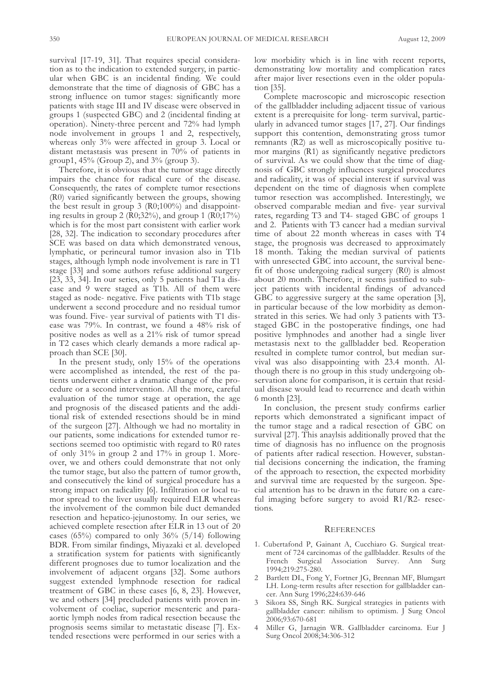survival [17-19, 31]. That requires special consideration as to the indication to extended surgery, in particular when GBC is an incidental finding. We could demonstrate that the time of diagnosis of GBC has a strong influence on tumor stages: significantly more patients with stage III and IV disease were observed in groups 1 (suspected GBC) and 2 (incidental finding at operation). Ninety-three percent and 72% had lymph node involvement in groups 1 and 2, respectively, whereas only 3% were affected in group 3. Local or distant metastasis was present in 70% of patients in group1, 45% (Group 2), and 3% (group 3).

Therefore, it is obvious that the tumor stage directly impairs the chance for radical cure of the disease. Consequently, the rates of complete tumor resections (R0) varied significantly between the groups, showing the best result in group 3 (R0;100%) and disappointing results in group 2 (R0;32%), and group 1 (R0;17%) which is for the most part consistent with earlier work [28, 32]. The indication to secondary procedures after SCE was based on data which demonstrated venous, lymphatic, or perineural tumor invasion also in T1b stages, although lymph node involvement is rare in T1 stage [33] and some authors refuse additional surgery [23, 33, 34]. In our series, only 5 patients had T1a disease and 9 were staged as T1b. All of them were staged as node- negative. Five patients with T1b stage underwent a second procedure and no residual tumor was found. Five- year survival of patients with T1 disease was 79%. In contrast, we found a 48% risk of positive nodes as well as a 21% risk of tumor spread in T2 cases which clearly demands a more radical approach than SCE [30].

In the present study, only 15% of the operations were accomplished as intended, the rest of the patients underwent either a dramatic change of the procedure or a second intervention. All the more, careful evaluation of the tumor stage at operation, the age and prognosis of the diseased patients and the additional risk of extended resections should be in mind of the surgeon [27]. Although we had no mortality in our patients, some indications for extended tumor resections seemed too optimistic with regard to R0 rates of only 31% in group 2 and 17% in group 1. Moreover, we and others could demonstrate that not only the tumor stage, but also the pattern of tumor growth, and consecutively the kind of surgical procedure has a strong impact on radicality [6]. Infiltration or local tumor spread to the liver usually required ELR whereas the involvement of the common bile duct demanded resection and hepatico-jejunostomy. In our series, we achieved complete resection after ELR in 13 out of 20 cases (65%) compared to only  $36\%$  (5/14) following BDR. From similar findings, Miyazaki et al. developed a stratification system for patients with significantly different prognoses due to tumor localization and the involvement of adjacent organs [32]. Some authors suggest extended lymphnode resection for radical treatment of GBC in these cases [6, 8, 23]. However, we and others [34] precluded patients with proven involvement of coeliac, superior mesenteric and paraaortic lymph nodes from radical resection because the prognosis seems similar to metastatic disease [7]. Extended resections were performed in our series with a

low morbidity which is in line with recent reports, demonstrating low mortality and complication rates after major liver resections even in the older population [35].

Complete macroscopic and microscopic resection of the gallbladder including adjacent tissue of various extent is a prerequisite for long- term survival, particularly in advanced tumor stages [17, 27]. Our findings support this contention, demonstrating gross tumor remnants (R2) as well as microscopically positive tumor margins (R1) as significantly negative predictors of survival. As we could show that the time of diagnosis of GBC strongly influences surgical procedures and radicality, it was of special interest if survival was dependent on the time of diagnosis when complete tumor resection was accomplished. Interestingly, we observed comparable median and five- year survival rates, regarding T3 and T4- staged GBC of groups 1 and 2. Patients with T3 cancer had a median survival time of about 22 month whereas in cases with T4 stage, the prognosis was decreased to approximately 18 month. Taking the median survival of patients with unresected GBC into account, the survival benefit of those undergoing radical surgery (R0) is almost about 20 month. Therefore, it seems justified to subject patients with incidental findings of advanced GBC to aggressive surgery at the same operation [3], in particular because of the low morbidity as demonstrated in this series. We had only 3 patients with T3 staged GBC in the postoperative findings, one had positive lymphnodes and another had a single liver metastasis next to the gallbladder bed. Reoperation resulted in complete tumor control, but median survival was also disappointing with 23.4 month. Although there is no group in this study undergoing observation alone for comparison, it is certain that residual disease would lead to recurrence and death within 6 month [23].

In conclusion, the present study confirms earlier reports which demonstrated a significant impact of the tumor stage and a radical resection of GBC on survival [27]. This anaylsis additionally proved that the time of diagnosis has no influence on the prognosis of patients after radical resection. However, substantial decisions concerning the indication, the framing of the approach to resection, the expected morbidity and survival time are requested by the surgeon. Special attention has to be drawn in the future on a careful imaging before surgery to avoid R1/R2- resections.

#### **REFERENCES**

- 1. Cubertafond P, Gainant A, Cucchiaro G. Surgical treatment of 724 carcinomas of the gallbladder. Results of the French Surgical Association Survey. Ann Surg 1994;219:275-280.
- 2 Bartlett DL, Fong Y, Fortner JG, Brennan MF, Blumgart LH. Long-term results after resection for gallbladder cancer. Ann Surg 1996;224:639-646
- 3 Sikora SS, Singh RK. Surgical strategies in patients with gallbladder cancer: nihilism to optimism. J Surg Oncol 2006;93:670-681
- 4 Miller G, Jarnagin WR. Gallbladder carcinoma. Eur J Surg Oncol 2008;34:306-312